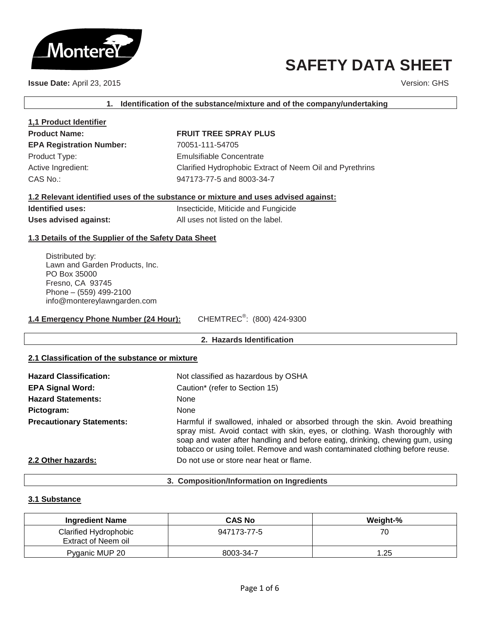

# **SAFETY DATA SHEET**

**Issue Date:** April 23, 2015 **Version: GHS** Version: GHS

**1. Identification of the substance/mixture and of the company/undertaking**

| 1,1 Product Identifier          |
|---------------------------------|
| <b>Product Name:</b>            |
| <b>EPA Registration Number:</b> |
| Product Type:                   |
| Active Ingredient:              |
| CAS No.:                        |

# **FRUIT TREE SPRAY PLUS**

**EPA Registration Number:** 70051-111-54705 **Emulsifiable Concentrate** Clarified Hydrophobic Extract of Neem Oil and Pyrethrins 947173-77-5 and 8003-34-7

# **1.2 Relevant identified uses of the substance or mixture and uses advised against:**

**Identified uses:** Insecticide, Miticide and Fungicide Uses advised against: All uses not listed on the label.

# **1.3 Details of the Supplier of the Safety Data Sheet**

Distributed by: Lawn and Garden Products, Inc. PO Box 35000 Fresno, CA 93745 Phone – (559) 499-2100 info@montereylawngarden.com

**1.4 Emergency Phone Number (24 Hour):** CHEMTREC<sup>®</sup>: (800) 424-9300

# **2. Hazards Identification**

# **2.1 Classification of the substance or mixture**

| <b>Hazard Classification:</b>    | Not classified as hazardous by OSHA                                                                                                                                                                                                                                                                                          |
|----------------------------------|------------------------------------------------------------------------------------------------------------------------------------------------------------------------------------------------------------------------------------------------------------------------------------------------------------------------------|
| <b>EPA Signal Word:</b>          | Caution* (refer to Section 15)                                                                                                                                                                                                                                                                                               |
| <b>Hazard Statements:</b>        | <b>None</b>                                                                                                                                                                                                                                                                                                                  |
| Pictogram:                       | <b>None</b>                                                                                                                                                                                                                                                                                                                  |
| <b>Precautionary Statements:</b> | Harmful if swallowed, inhaled or absorbed through the skin. Avoid breathing<br>spray mist. Avoid contact with skin, eyes, or clothing. Wash thoroughly with<br>soap and water after handling and before eating, drinking, chewing gum, using<br>tobacco or using toilet. Remove and wash contaminated clothing before reuse. |
| 2.2 Other hazards:               | Do not use or store near heat or flame.                                                                                                                                                                                                                                                                                      |

#### **3. Composition/Information on Ingredients**

# **3.1 Substance**

| <b>Ingredient Name</b>                       | <b>CAS No</b> | Weight-% |
|----------------------------------------------|---------------|----------|
| Clarified Hydrophobic<br>Extract of Neem oil | 947173-77-5   | 70       |
| Pyganic MUP 20                               | 8003-34-7     | 1.25     |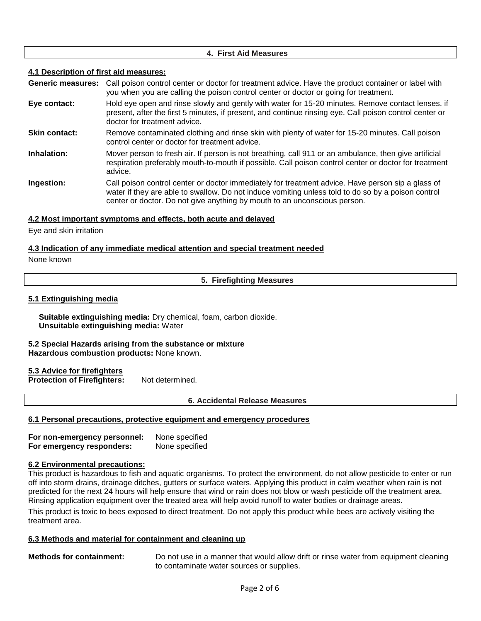# **4. First Aid Measures**

# **4.1 Description of first aid measures:**

**Generic measures:** Call poison control center or doctor for treatment advice. Have the product container or label with you when you are calling the poison control center or doctor or going for treatment.

- **Eye contact:** Hold eye open and rinse slowly and gently with water for 15-20 minutes. Remove contact lenses, if present, after the first 5 minutes, if present, and continue rinsing eye. Call poison control center or doctor for treatment advice.
- **Skin contact:** Remove contaminated clothing and rinse skin with plenty of water for 15-20 minutes. Call poison control center or doctor for treatment advice.
- **Inhalation:** Mover person to fresh air. If person is not breathing, call 911 or an ambulance, then give artificial respiration preferably mouth-to-mouth if possible. Call poison control center or doctor for treatment advice.
- **Ingestion:** Call poison control center or doctor immediately for treatment advice. Have person sip a glass of water if they are able to swallow. Do not induce vomiting unless told to do so by a poison control center or doctor. Do not give anything by mouth to an unconscious person.

# **4.2 Most important symptoms and effects, both acute and delayed**

Eye and skin irritation

# **4.3 Indication of any immediate medical attention and special treatment needed**

#### None known

**5. Firefighting Measures**

# **5.1 Extinguishing media**

**Suitable extinguishing media:** Dry chemical, foam, carbon dioxide. **Unsuitable extinguishing media:** Water

#### **5.2 Special Hazards arising from the substance or mixture Hazardous combustion products:** None known.

# **5.3 Advice for firefighters**

**Protection of Firefighters:** Not determined.

**6. Accidental Release Measures**

# **6.1 Personal precautions, protective equipment and emergency procedures**

**For non-emergency personnel:** None specified **For emergency responders:** None specified

# **6.2 Environmental precautions:**

This product is hazardous to fish and aquatic organisms. To protect the environment, do not allow pesticide to enter or run off into storm drains, drainage ditches, gutters or surface waters. Applying this product in calm weather when rain is not predicted for the next 24 hours will help ensure that wind or rain does not blow or wash pesticide off the treatment area. Rinsing application equipment over the treated area will help avoid runoff to water bodies or drainage areas.

This product is toxic to bees exposed to direct treatment. Do not apply this product while bees are actively visiting the treatment area.

# **6.3 Methods and material for containment and cleaning up**

**Methods for containment:** Do not use in a manner that would allow drift or rinse water from equipment cleaning to contaminate water sources or supplies.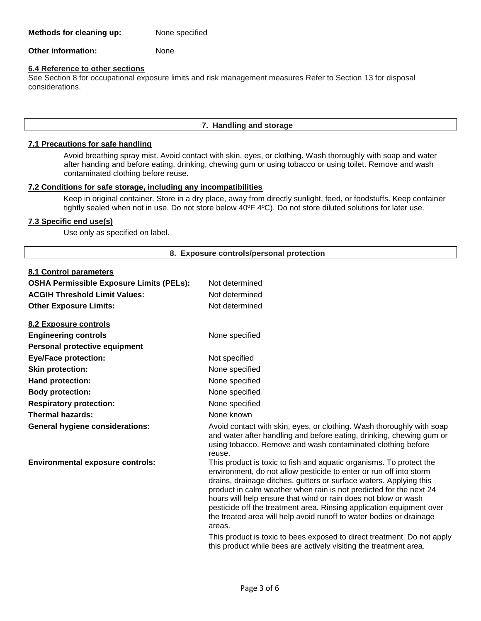**Other information:** None

# **6.4 Reference to other sections**

See Section 8 for occupational exposure limits and risk management measures Refer to Section 13 for disposal considerations.

# **7. Handling and storage**

# **7.1 Precautions for safe handling**

Avoid breathing spray mist. Avoid contact with skin, eyes, or clothing. Wash thoroughly with soap and water after handing and before eating, drinking, chewing gum or using tobacco or using toilet. Remove and wash contaminated clothing before reuse.

# **7.2 Conditions for safe storage, including any incompatibilities**

Keep in original container. Store in a dry place, away from directly sunlight, feed, or foodstuffs. Keep container tightly sealed when not in use. Do not store below 40ºF 4ºC). Do not store diluted solutions for later use.

# **7.3 Specific end use(s)**

Use only as specified on label.

# **8. Exposure controls/personal protection**

# **8.1 Control parameters**

| <u>o. I Control parameters</u>                  |                                                                                                                                                                                                                                                                                                                                                                                                                                                                                                                  |
|-------------------------------------------------|------------------------------------------------------------------------------------------------------------------------------------------------------------------------------------------------------------------------------------------------------------------------------------------------------------------------------------------------------------------------------------------------------------------------------------------------------------------------------------------------------------------|
| <b>OSHA Permissible Exposure Limits (PELs):</b> | Not determined                                                                                                                                                                                                                                                                                                                                                                                                                                                                                                   |
| <b>ACGIH Threshold Limit Values:</b>            | Not determined                                                                                                                                                                                                                                                                                                                                                                                                                                                                                                   |
| <b>Other Exposure Limits:</b>                   | Not determined                                                                                                                                                                                                                                                                                                                                                                                                                                                                                                   |
| <u>8.2 Exposure controls</u>                    |                                                                                                                                                                                                                                                                                                                                                                                                                                                                                                                  |
| <b>Engineering controls</b>                     | None specified                                                                                                                                                                                                                                                                                                                                                                                                                                                                                                   |
| Personal protective equipment                   |                                                                                                                                                                                                                                                                                                                                                                                                                                                                                                                  |
| <b>Eye/Face protection:</b>                     | Not specified                                                                                                                                                                                                                                                                                                                                                                                                                                                                                                    |
| <b>Skin protection:</b>                         | None specified                                                                                                                                                                                                                                                                                                                                                                                                                                                                                                   |
| Hand protection:                                | None specified                                                                                                                                                                                                                                                                                                                                                                                                                                                                                                   |
| <b>Body protection:</b>                         | None specified                                                                                                                                                                                                                                                                                                                                                                                                                                                                                                   |
| <b>Respiratory protection:</b>                  | None specified                                                                                                                                                                                                                                                                                                                                                                                                                                                                                                   |
| <b>Thermal hazards:</b>                         | None known                                                                                                                                                                                                                                                                                                                                                                                                                                                                                                       |
| <b>General hygiene considerations:</b>          | Avoid contact with skin, eyes, or clothing. Wash thoroughly with soap<br>and water after handling and before eating, drinking, chewing gum or<br>using tobacco. Remove and wash contaminated clothing before<br>reuse.                                                                                                                                                                                                                                                                                           |
| <b>Environmental exposure controls:</b>         | This product is toxic to fish and aquatic organisms. To protect the<br>environment, do not allow pesticide to enter or run off into storm<br>drains, drainage ditches, gutters or surface waters. Applying this<br>product in calm weather when rain is not predicted for the next 24<br>hours will help ensure that wind or rain does not blow or wash<br>pesticide off the treatment area. Rinsing application equipment over<br>the treated area will help avoid runoff to water bodies or drainage<br>areas. |
|                                                 | This product is toxic to bees exposed to direct treatment. Do not apply<br>this product while bees are actively visiting the treatment area.                                                                                                                                                                                                                                                                                                                                                                     |
|                                                 |                                                                                                                                                                                                                                                                                                                                                                                                                                                                                                                  |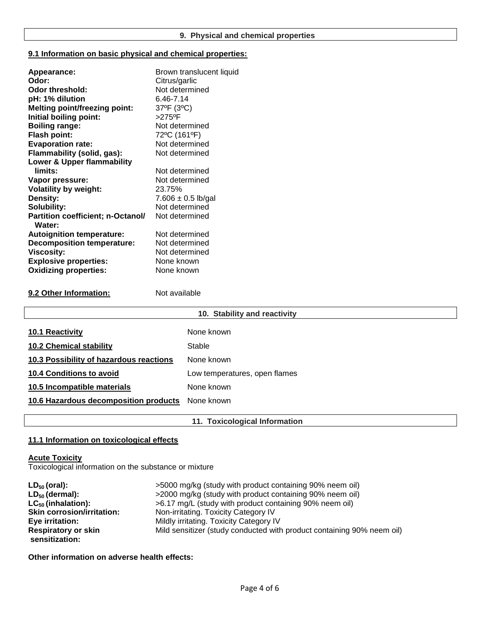# **9.1 Information on basic physical and chemical properties:**

| Appearance:                                        | Brown translucent liquid |
|----------------------------------------------------|--------------------------|
| Odor:                                              | Citrus/garlic            |
| Odor threshold:                                    | Not determined           |
| pH: 1% dilution                                    | 6.46-7.14                |
| <b>Melting point/freezing point:</b>               | 37°F (3°C)               |
| Initial boiling point:                             | $>275$ <sup>o</sup> F    |
| <b>Boiling range:</b>                              | Not determined           |
| <b>Flash point:</b>                                | 72°C (161°F)             |
| <b>Evaporation rate:</b>                           | Not determined           |
| Flammability (solid, gas):                         | Not determined           |
| Lower & Upper flammability                         |                          |
| limits:                                            | Not determined           |
| Vapor pressure:                                    | Not determined           |
| <b>Volatility by weight:</b>                       | 23.75%                   |
| Density:                                           | 7.606 $\pm$ 0.5 lb/gal   |
| Solubility:                                        | Not determined           |
| <b>Partition coefficient; n-Octanol/</b><br>Water: | Not determined           |
| <b>Autoignition temperature:</b>                   | Not determined           |
| <b>Decomposition temperature:</b>                  | Not determined           |
| <b>Viscosity:</b>                                  | Not determined           |
| <b>Explosive properties:</b>                       | None known               |
| <b>Oxidizing properties:</b>                       | None known               |
|                                                    |                          |

**9.2 Other Information:** Not available

| 10. Stability and reactivity            |                               |  |
|-----------------------------------------|-------------------------------|--|
| 10.1 Reactivity                         | None known                    |  |
| <b>10.2 Chemical stability</b>          | Stable                        |  |
| 10.3 Possibility of hazardous reactions | None known                    |  |
| <b>10.4 Conditions to avoid</b>         | Low temperatures, open flames |  |
| 10.5 Incompatible materials             | None known                    |  |
| 10.6 Hazardous decomposition products   | None known                    |  |

**11. Toxicological Information**

# **11.1 Information on toxicological effects**

# **Acute Toxicity**

Toxicological information on the substance or mixture

| $LD_{50}$ (oral):                 | >5000 mg/kg (study with product containing 90% neem oil)               |
|-----------------------------------|------------------------------------------------------------------------|
| $LD_{50}$ (dermal):               | >2000 mg/kg (study with product containing 90% neem oil)               |
| $LC_{50}$ (inhalation):           | >6.17 mg/L (study with product containing 90% neem oil)                |
| <b>Skin corrosion/irritation:</b> | Non-irritating. Toxicity Category IV                                   |
| Eye irritation:                   | Mildly irritating. Toxicity Category IV                                |
| <b>Respiratory or skin</b>        | Mild sensitizer (study conducted with product containing 90% neem oil) |
| sensitization:                    |                                                                        |

**Other information on adverse health effects:**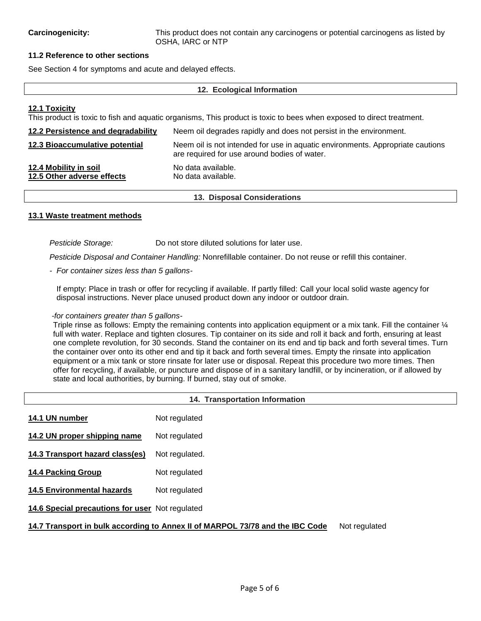# **11.2 Reference to other sections**

See Section 4 for symptoms and acute and delayed effects.

#### **12. Ecological Information**

# **12.1 Toxicity**

This product is toxic to fish and aquatic organisms, This product is toxic to bees when exposed to direct treatment.

| 12.2 Persistence and degradability                  | Neem oil degrades rapidly and does not persist in the environment.                                                             |  |
|-----------------------------------------------------|--------------------------------------------------------------------------------------------------------------------------------|--|
| 12.3 Bioaccumulative potential                      | Neem oil is not intended for use in aquatic environments. Appropriate cautions<br>are required for use around bodies of water. |  |
| 12.4 Mobility in soil<br>12.5 Other adverse effects | No data available.<br>No data available.                                                                                       |  |

#### **13. Disposal Considerations**

### **13.1 Waste treatment methods**

*Pesticide Storage:* Do not store diluted solutions for later use.

*Pesticide Disposal and Container Handling:* Nonrefillable container. Do not reuse or refill this container.

*- For container sizes less than 5 gallons-*

If empty: Place in trash or offer for recycling if available. If partly filled: Call your local solid waste agency for disposal instructions. Never place unused product down any indoor or outdoor drain.

# *-for containers greater than 5 gallons-*

Triple rinse as follows: Empty the remaining contents into application equipment or a mix tank. Fill the container  $\mathcal{U}_4$ full with water. Replace and tighten closures. Tip container on its side and roll it back and forth, ensuring at least one complete revolution, for 30 seconds. Stand the container on its end and tip back and forth several times. Turn the container over onto its other end and tip it back and forth several times. Empty the rinsate into application equipment or a mix tank or store rinsate for later use or disposal. Repeat this procedure two more times. Then offer for recycling, if available, or puncture and dispose of in a sanitary landfill, or by incineration, or if allowed by state and local authorities, by burning. If burned, stay out of smoke.

| <b>14. Transportation Information</b>                                                          |                |  |
|------------------------------------------------------------------------------------------------|----------------|--|
| 14.1 UN number                                                                                 | Not regulated  |  |
| 14.2 UN proper shipping name                                                                   | Not regulated  |  |
| 14.3 Transport hazard class(es)                                                                | Not regulated. |  |
| <b>14.4 Packing Group</b>                                                                      | Not regulated  |  |
| <b>14.5 Environmental hazards</b>                                                              | Not regulated  |  |
| 14.6 Special precautions for user Not regulated                                                |                |  |
| 14.7 Transport in bulk according to Annex II of MARPOL 73/78 and the IBC Code<br>Not regulated |                |  |